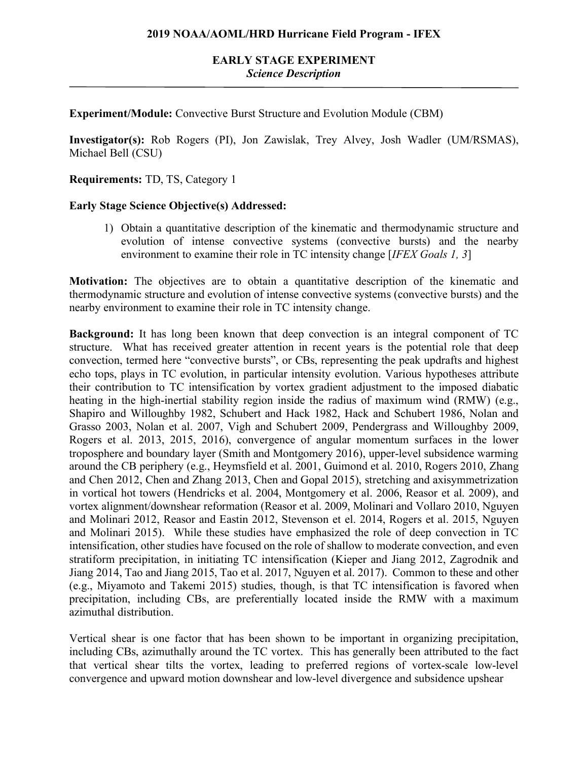**Experiment/Module:** Convective Burst Structure and Evolution Module (CBM)

**Investigator(s):** Rob Rogers (PI), Jon Zawislak, Trey Alvey, Josh Wadler (UM/RSMAS), Michael Bell (CSU)

**Requirements:** TD, TS, Category 1

#### **Early Stage Science Objective(s) Addressed:**

1) Obtain a quantitative description of the kinematic and thermodynamic structure and evolution of intense convective systems (convective bursts) and the nearby environment to examine their role in TC intensity change [*IFEX Goals 1, 3*]

**Motivation:** The objectives are to obtain a quantitative description of the kinematic and thermodynamic structure and evolution of intense convective systems (convective bursts) and the nearby environment to examine their role in TC intensity change.

**Background:** It has long been known that deep convection is an integral component of TC structure. What has received greater attention in recent years is the potential role that deep convection, termed here "convective bursts", or CBs, representing the peak updrafts and highest echo tops, plays in TC evolution, in particular intensity evolution. Various hypotheses attribute their contribution to TC intensification by vortex gradient adjustment to the imposed diabatic heating in the high-inertial stability region inside the radius of maximum wind (RMW) (e.g., Shapiro and Willoughby 1982, Schubert and Hack 1982, Hack and Schubert 1986, Nolan and Grasso 2003, Nolan et al. 2007, Vigh and Schubert 2009, Pendergrass and Willoughby 2009, Rogers et al. 2013, 2015, 2016), convergence of angular momentum surfaces in the lower troposphere and boundary layer (Smith and Montgomery 2016), upper-level subsidence warming around the CB periphery (e.g., Heymsfield et al. 2001, Guimond et al. 2010, Rogers 2010, Zhang and Chen 2012, Chen and Zhang 2013, Chen and Gopal 2015), stretching and axisymmetrization in vortical hot towers (Hendricks et al. 2004, Montgomery et al. 2006, Reasor et al. 2009), and vortex alignment/downshear reformation (Reasor et al. 2009, Molinari and Vollaro 2010, Nguyen and Molinari 2012, Reasor and Eastin 2012, Stevenson et el. 2014, Rogers et al. 2015, Nguyen and Molinari 2015). While these studies have emphasized the role of deep convection in TC intensification, other studies have focused on the role of shallow to moderate convection, and even stratiform precipitation, in initiating TC intensification (Kieper and Jiang 2012, Zagrodnik and Jiang 2014, Tao and Jiang 2015, Tao et al. 2017, Nguyen et al. 2017). Common to these and other (e.g., Miyamoto and Takemi 2015) studies, though, is that TC intensification is favored when precipitation, including CBs, are preferentially located inside the RMW with a maximum azimuthal distribution.

Vertical shear is one factor that has been shown to be important in organizing precipitation, including CBs, azimuthally around the TC vortex. This has generally been attributed to the fact that vertical shear tilts the vortex, leading to preferred regions of vortex-scale low-level convergence and upward motion downshear and low-level divergence and subsidence upshear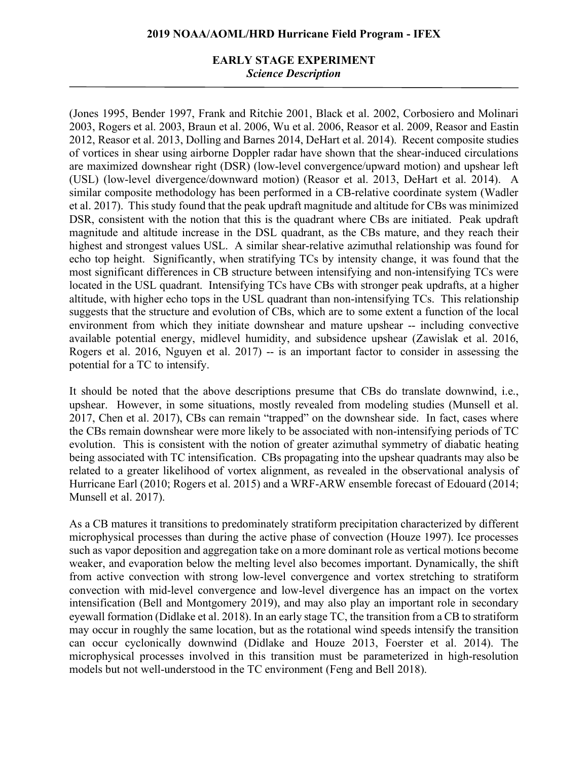#### **EARLY STAGE EXPERIMENT** *Science Description*

(Jones 1995, Bender 1997, Frank and Ritchie 2001, Black et al. 2002, Corbosiero and Molinari 2003, Rogers et al. 2003, Braun et al. 2006, Wu et al. 2006, Reasor et al. 2009, Reasor and Eastin 2012, Reasor et al. 2013, Dolling and Barnes 2014, DeHart et al. 2014). Recent composite studies of vortices in shear using airborne Doppler radar have shown that the shear-induced circulations are maximized downshear right (DSR) (low-level convergence/upward motion) and upshear left (USL) (low-level divergence/downward motion) (Reasor et al. 2013, DeHart et al. 2014). A similar composite methodology has been performed in a CB-relative coordinate system (Wadler et al. 2017). This study found that the peak updraft magnitude and altitude for CBs was minimized DSR, consistent with the notion that this is the quadrant where CBs are initiated. Peak updraft magnitude and altitude increase in the DSL quadrant, as the CBs mature, and they reach their highest and strongest values USL. A similar shear-relative azimuthal relationship was found for echo top height. Significantly, when stratifying TCs by intensity change, it was found that the most significant differences in CB structure between intensifying and non-intensifying TCs were located in the USL quadrant. Intensifying TCs have CBs with stronger peak updrafts, at a higher altitude, with higher echo tops in the USL quadrant than non-intensifying TCs. This relationship suggests that the structure and evolution of CBs, which are to some extent a function of the local environment from which they initiate downshear and mature upshear -- including convective available potential energy, midlevel humidity, and subsidence upshear (Zawislak et al. 2016, Rogers et al. 2016, Nguyen et al. 2017) -- is an important factor to consider in assessing the potential for a TC to intensify.

It should be noted that the above descriptions presume that CBs do translate downwind, i.e., upshear. However, in some situations, mostly revealed from modeling studies (Munsell et al. 2017, Chen et al. 2017), CBs can remain "trapped" on the downshear side. In fact, cases where the CBs remain downshear were more likely to be associated with non-intensifying periods of TC evolution. This is consistent with the notion of greater azimuthal symmetry of diabatic heating being associated with TC intensification. CBs propagating into the upshear quadrants may also be related to a greater likelihood of vortex alignment, as revealed in the observational analysis of Hurricane Earl (2010; Rogers et al. 2015) and a WRF-ARW ensemble forecast of Edouard (2014; Munsell et al. 2017).

As a CB matures it transitions to predominately stratiform precipitation characterized by different microphysical processes than during the active phase of convection (Houze 1997). Ice processes such as vapor deposition and aggregation take on a more dominant role as vertical motions become weaker, and evaporation below the melting level also becomes important. Dynamically, the shift from active convection with strong low-level convergence and vortex stretching to stratiform convection with mid-level convergence and low-level divergence has an impact on the vortex intensification (Bell and Montgomery 2019), and may also play an important role in secondary eyewall formation (Didlake et al. 2018). In an early stage TC, the transition from a CB to stratiform may occur in roughly the same location, but as the rotational wind speeds intensify the transition can occur cyclonically downwind (Didlake and Houze 2013, Foerster et al. 2014). The microphysical processes involved in this transition must be parameterized in high-resolution models but not well-understood in the TC environment (Feng and Bell 2018).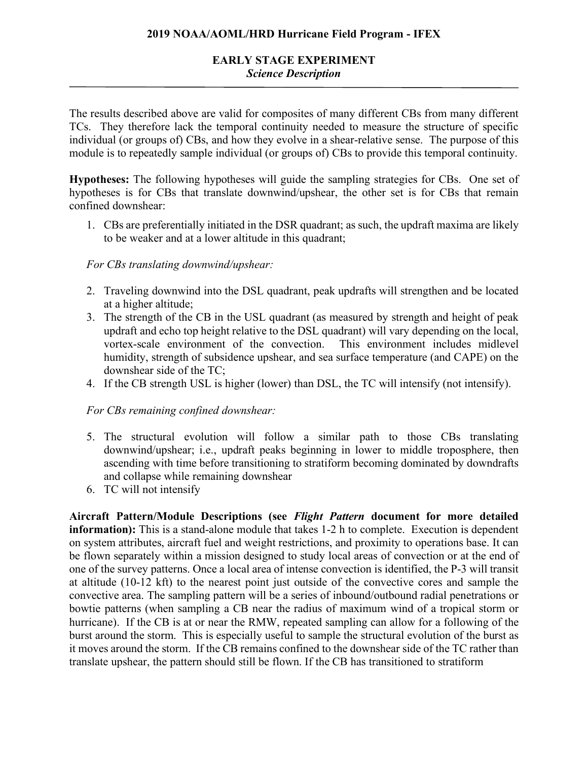The results described above are valid for composites of many different CBs from many different TCs. They therefore lack the temporal continuity needed to measure the structure of specific individual (or groups of) CBs, and how they evolve in a shear-relative sense. The purpose of this module is to repeatedly sample individual (or groups of) CBs to provide this temporal continuity.

**Hypotheses:** The following hypotheses will guide the sampling strategies for CBs. One set of hypotheses is for CBs that translate downwind/upshear, the other set is for CBs that remain confined downshear:

1. CBs are preferentially initiated in the DSR quadrant; as such, the updraft maxima are likely to be weaker and at a lower altitude in this quadrant;

## *For CBs translating downwind/upshear:*

- 2. Traveling downwind into the DSL quadrant, peak updrafts will strengthen and be located at a higher altitude;
- 3. The strength of the CB in the USL quadrant (as measured by strength and height of peak updraft and echo top height relative to the DSL quadrant) will vary depending on the local, vortex-scale environment of the convection. This environment includes midlevel humidity, strength of subsidence upshear, and sea surface temperature (and CAPE) on the downshear side of the TC;
- 4. If the CB strength USL is higher (lower) than DSL, the TC will intensify (not intensify).

## *For CBs remaining confined downshear:*

- 5. The structural evolution will follow a similar path to those CBs translating downwind/upshear; i.e., updraft peaks beginning in lower to middle troposphere, then ascending with time before transitioning to stratiform becoming dominated by downdrafts and collapse while remaining downshear
- 6. TC will not intensify

**Aircraft Pattern/Module Descriptions (see** *Flight Pattern* **document for more detailed information):** This is a stand-alone module that takes 1-2 h to complete. Execution is dependent on system attributes, aircraft fuel and weight restrictions, and proximity to operations base. It can be flown separately within a mission designed to study local areas of convection or at the end of one of the survey patterns. Once a local area of intense convection is identified, the P-3 will transit at altitude (10-12 kft) to the nearest point just outside of the convective cores and sample the convective area. The sampling pattern will be a series of inbound/outbound radial penetrations or bowtie patterns (when sampling a CB near the radius of maximum wind of a tropical storm or hurricane). If the CB is at or near the RMW, repeated sampling can allow for a following of the burst around the storm. This is especially useful to sample the structural evolution of the burst as it moves around the storm. If the CB remains confined to the downshear side of the TC rather than translate upshear, the pattern should still be flown. If the CB has transitioned to stratiform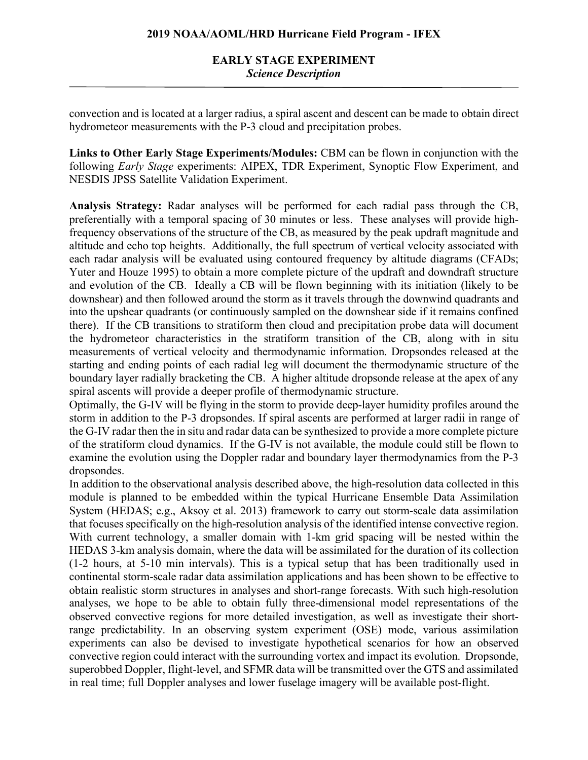convection and is located at a larger radius, a spiral ascent and descent can be made to obtain direct hydrometeor measurements with the P-3 cloud and precipitation probes.

**Links to Other Early Stage Experiments/Modules:** CBM can be flown in conjunction with the following *Early Stage* experiments: AIPEX, TDR Experiment, Synoptic Flow Experiment, and NESDIS JPSS Satellite Validation Experiment.

**Analysis Strategy:** Radar analyses will be performed for each radial pass through the CB, preferentially with a temporal spacing of 30 minutes or less. These analyses will provide highfrequency observations of the structure of the CB, as measured by the peak updraft magnitude and altitude and echo top heights. Additionally, the full spectrum of vertical velocity associated with each radar analysis will be evaluated using contoured frequency by altitude diagrams (CFADs; Yuter and Houze 1995) to obtain a more complete picture of the updraft and downdraft structure and evolution of the CB. Ideally a CB will be flown beginning with its initiation (likely to be downshear) and then followed around the storm as it travels through the downwind quadrants and into the upshear quadrants (or continuously sampled on the downshear side if it remains confined there). If the CB transitions to stratiform then cloud and precipitation probe data will document the hydrometeor characteristics in the stratiform transition of the CB, along with in situ measurements of vertical velocity and thermodynamic information. Dropsondes released at the starting and ending points of each radial leg will document the thermodynamic structure of the boundary layer radially bracketing the CB. A higher altitude dropsonde release at the apex of any spiral ascents will provide a deeper profile of thermodynamic structure.

Optimally, the G-IV will be flying in the storm to provide deep-layer humidity profiles around the storm in addition to the P-3 dropsondes. If spiral ascents are performed at larger radii in range of the G-IV radar then the in situ and radar data can be synthesized to provide a more complete picture of the stratiform cloud dynamics. If the G-IV is not available, the module could still be flown to examine the evolution using the Doppler radar and boundary layer thermodynamics from the P-3 dropsondes.

In addition to the observational analysis described above, the high-resolution data collected in this module is planned to be embedded within the typical Hurricane Ensemble Data Assimilation System (HEDAS; e.g., Aksoy et al. 2013) framework to carry out storm-scale data assimilation that focuses specifically on the high-resolution analysis of the identified intense convective region. With current technology, a smaller domain with 1-km grid spacing will be nested within the HEDAS 3-km analysis domain, where the data will be assimilated for the duration of its collection (1-2 hours, at 5-10 min intervals). This is a typical setup that has been traditionally used in continental storm-scale radar data assimilation applications and has been shown to be effective to obtain realistic storm structures in analyses and short-range forecasts. With such high-resolution analyses, we hope to be able to obtain fully three-dimensional model representations of the observed convective regions for more detailed investigation, as well as investigate their shortrange predictability. In an observing system experiment (OSE) mode, various assimilation experiments can also be devised to investigate hypothetical scenarios for how an observed convective region could interact with the surrounding vortex and impact its evolution. Dropsonde, superobbed Doppler, flight-level, and SFMR data will be transmitted over the GTS and assimilated in real time; full Doppler analyses and lower fuselage imagery will be available post-flight.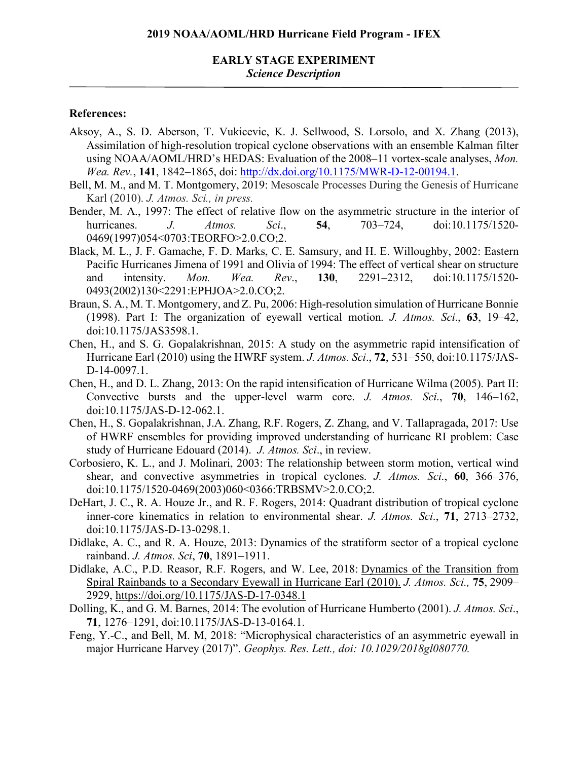#### **References:**

- Aksoy, A., S. D. Aberson, T. Vukicevic, K. J. Sellwood, S. Lorsolo, and X. Zhang (2013), Assimilation of high-resolution tropical cyclone observations with an ensemble Kalman filter using NOAA/AOML/HRD's HEDAS: Evaluation of the 2008–11 vortex-scale analyses, *Mon. Wea. Rev.*, **141**, 1842–1865, doi: http://dx.doi.org/10.1175/MWR-D-12-00194.1.
- Bell, M. M., and M. T. Montgomery, 2019: Mesoscale Processes During the Genesis of Hurricane Karl (2010). *J. Atmos. Sci., in press.*
- Bender, M. A., 1997: The effect of relative flow on the asymmetric structure in the interior of hurricanes. *J. Atmos. Sci*., **54**, 703–724, doi:10.1175/1520- 0469(1997)054<0703:TEORFO>2.0.CO;2.
- Black, M. L., J. F. Gamache, F. D. Marks, C. E. Samsury, and H. E. Willoughby, 2002: Eastern Pacific Hurricanes Jimena of 1991 and Olivia of 1994: The effect of vertical shear on structure and intensity. *Mon. Wea. Rev*., **130**, 2291–2312, doi:10.1175/1520- 0493(2002)130<2291:EPHJOA>2.0.CO;2.
- Braun, S. A., M. T. Montgomery, and Z. Pu, 2006: High-resolution simulation of Hurricane Bonnie (1998). Part I: The organization of eyewall vertical motion. *J. Atmos. Sci*., **63**, 19–42, doi:10.1175/JAS3598.1.
- Chen, H., and S. G. Gopalakrishnan, 2015: A study on the asymmetric rapid intensification of Hurricane Earl (2010) using the HWRF system. *J. Atmos. Sci*., **72**, 531–550, doi:10.1175/JAS-D-14-0097.1.
- Chen, H., and D. L. Zhang, 2013: On the rapid intensification of Hurricane Wilma (2005). Part II: Convective bursts and the upper-level warm core. *J. Atmos. Sci*., **70**, 146–162, doi:10.1175/JAS-D-12-062.1.
- Chen, H., S. Gopalakrishnan, J.A. Zhang, R.F. Rogers, Z. Zhang, and V. Tallapragada, 2017: Use of HWRF ensembles for providing improved understanding of hurricane RI problem: Case study of Hurricane Edouard (2014). *J. Atmos. Sci*., in review.
- Corbosiero, K. L., and J. Molinari, 2003: The relationship between storm motion, vertical wind shear, and convective asymmetries in tropical cyclones. *J. Atmos. Sci*., **60**, 366–376, doi:10.1175/1520-0469(2003)060<0366:TRBSMV>2.0.CO;2.
- DeHart, J. C., R. A. Houze Jr., and R. F. Rogers, 2014: Quadrant distribution of tropical cyclone inner-core kinematics in relation to environmental shear. *J. Atmos. Sci*., **71**, 2713–2732, doi:10.1175/JAS-D-13-0298.1.
- Didlake, A. C., and R. A. Houze, 2013: Dynamics of the stratiform sector of a tropical cyclone rainband. *J. Atmos. Sci*, **70**, 1891–1911.
- Didlake, A.C., P.D. Reasor, R.F. Rogers, and W. Lee, 2018: Dynamics of the Transition from Spiral Rainbands to a Secondary Eyewall in Hurricane Earl (2010). *J. Atmos. Sci.,* **75**, 2909– 2929, https://doi.org/10.1175/JAS-D-17-0348.1
- Dolling, K., and G. M. Barnes, 2014: The evolution of Hurricane Humberto (2001). *J. Atmos. Sci*., **71**, 1276–1291, doi:10.1175/JAS-D-13-0164.1.
- Feng, Y.-C., and Bell, M. M, 2018: "Microphysical characteristics of an asymmetric eyewall in major Hurricane Harvey (2017)". *Geophys. Res. Lett., doi: 10.1029/2018gl080770.*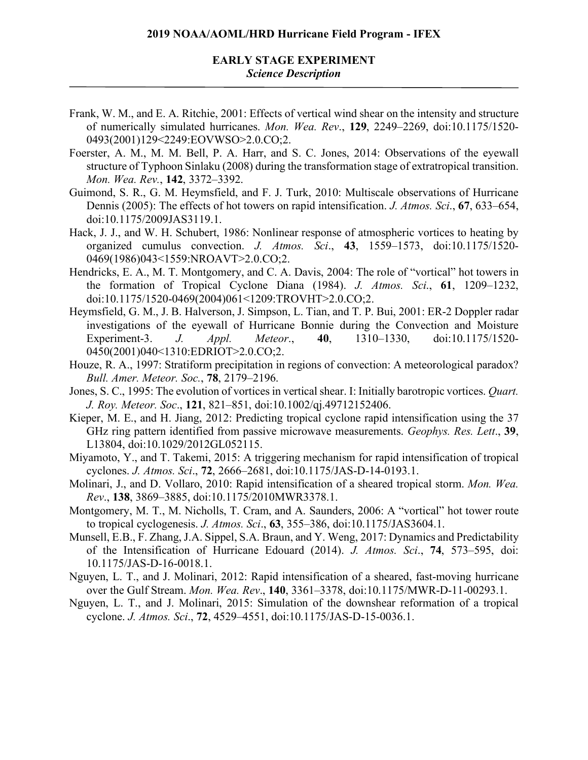## **EARLY STAGE EXPERIMENT** *Science Description*

- Frank, W. M., and E. A. Ritchie, 2001: Effects of vertical wind shear on the intensity and structure of numerically simulated hurricanes. *Mon. Wea. Rev*., **129**, 2249–2269, doi:10.1175/1520- 0493(2001)129<2249:EOVWSO>2.0.CO;2.
- Foerster, A. M., M. M. Bell, P. A. Harr, and S. C. Jones, 2014: Observations of the eyewall structure of Typhoon Sinlaku (2008) during the transformation stage of extratropical transition. *Mon. Wea. Rev.*, **142**, 3372–3392.
- Guimond, S. R., G. M. Heymsfield, and F. J. Turk, 2010: Multiscale observations of Hurricane Dennis (2005): The effects of hot towers on rapid intensification. *J. Atmos. Sci*., **67**, 633–654, doi:10.1175/2009JAS3119.1.
- Hack, J. J., and W. H. Schubert, 1986: Nonlinear response of atmospheric vortices to heating by organized cumulus convection. *J. Atmos. Sci*., **43**, 1559–1573, doi:10.1175/1520- 0469(1986)043<1559:NROAVT>2.0.CO;2.
- Hendricks, E. A., M. T. Montgomery, and C. A. Davis, 2004: The role of "vortical" hot towers in the formation of Tropical Cyclone Diana (1984). *J. Atmos. Sci*., **61**, 1209–1232, doi:10.1175/1520-0469(2004)061<1209:TROVHT>2.0.CO;2.
- Heymsfield, G. M., J. B. Halverson, J. Simpson, L. Tian, and T. P. Bui, 2001: ER-2 Doppler radar investigations of the eyewall of Hurricane Bonnie during the Convection and Moisture Experiment-3. *J. Appl. Meteor*., **40**, 1310–1330, doi:10.1175/1520- 0450(2001)040<1310:EDRIOT>2.0.CO;2.
- Houze, R. A., 1997: Stratiform precipitation in regions of convection: A meteorological paradox? *Bull. Amer. Meteor. Soc.*, **78**, 2179–2196.
- Jones, S. C., 1995: The evolution of vortices in vertical shear. I: Initially barotropic vortices. *Quart. J. Roy. Meteor. Soc*., **121**, 821–851, doi:10.1002/qj.49712152406.
- Kieper, M. E., and H. Jiang, 2012: Predicting tropical cyclone rapid intensification using the 37 GHz ring pattern identified from passive microwave measurements. *Geophys. Res. Lett*., **39**, L13804, doi:10.1029/2012GL052115.
- Miyamoto, Y., and T. Takemi, 2015: A triggering mechanism for rapid intensification of tropical cyclones. *J. Atmos. Sci*., **72**, 2666–2681, doi:10.1175/JAS-D-14-0193.1.
- Molinari, J., and D. Vollaro, 2010: Rapid intensification of a sheared tropical storm. *Mon. Wea. Rev*., **138**, 3869–3885, doi:10.1175/2010MWR3378.1.
- Montgomery, M. T., M. Nicholls, T. Cram, and A. Saunders, 2006: A "vortical" hot tower route to tropical cyclogenesis. *J. Atmos. Sci*., **63**, 355–386, doi:10.1175/JAS3604.1.
- Munsell, E.B., F. Zhang, J.A. Sippel, S.A. Braun, and Y. Weng, 2017: Dynamics and Predictability of the Intensification of Hurricane Edouard (2014). *J. Atmos. Sci*., **74**, 573–595, doi: 10.1175/JAS-D-16-0018.1.
- Nguyen, L. T., and J. Molinari, 2012: Rapid intensification of a sheared, fast-moving hurricane over the Gulf Stream. *Mon. Wea. Rev*., **140**, 3361–3378, doi:10.1175/MWR-D-11-00293.1.
- Nguyen, L. T., and J. Molinari, 2015: Simulation of the downshear reformation of a tropical cyclone. *J. Atmos. Sci*., **72**, 4529–4551, doi:10.1175/JAS-D-15-0036.1.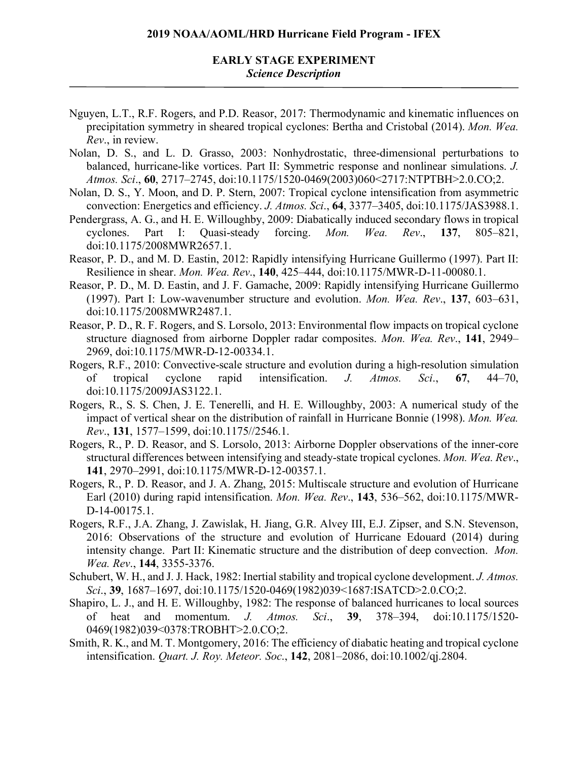#### **EARLY STAGE EXPERIMENT** *Science Description*

- Nguyen, L.T., R.F. Rogers, and P.D. Reasor, 2017: Thermodynamic and kinematic influences on precipitation symmetry in sheared tropical cyclones: Bertha and Cristobal (2014). *Mon. Wea. Rev*., in review.
- Nolan, D. S., and L. D. Grasso, 2003: Nonhydrostatic, three-dimensional perturbations to balanced, hurricane-like vortices. Part II: Symmetric response and nonlinear simulations. *J. Atmos. Sci*., **60**, 2717–2745, doi:10.1175/1520-0469(2003)060<2717:NTPTBH>2.0.CO;2.
- Nolan, D. S., Y. Moon, and D. P. Stern, 2007: Tropical cyclone intensification from asymmetric convection: Energetics and efficiency. *J. Atmos. Sci*., **64**, 3377–3405, doi:10.1175/JAS3988.1.
- Pendergrass, A. G., and H. E. Willoughby, 2009: Diabatically induced secondary flows in tropical cyclones. Part I: Quasi-steady forcing. *Mon. Wea. Rev*., **137**, 805–821, doi:10.1175/2008MWR2657.1.
- Reasor, P. D., and M. D. Eastin, 2012: Rapidly intensifying Hurricane Guillermo (1997). Part II: Resilience in shear. *Mon. Wea. Rev*., **140**, 425–444, doi:10.1175/MWR-D-11-00080.1.
- Reasor, P. D., M. D. Eastin, and J. F. Gamache, 2009: Rapidly intensifying Hurricane Guillermo (1997). Part I: Low-wavenumber structure and evolution. *Mon. Wea. Rev*., **137**, 603–631, doi:10.1175/2008MWR2487.1.
- Reasor, P. D., R. F. Rogers, and S. Lorsolo, 2013: Environmental flow impacts on tropical cyclone structure diagnosed from airborne Doppler radar composites. *Mon. Wea. Rev*., **141**, 2949– 2969, doi:10.1175/MWR-D-12-00334.1.
- Rogers, R.F., 2010: Convective-scale structure and evolution during a high-resolution simulation of tropical cyclone rapid intensification. *J. Atmos. Sci*., **67**, 44–70, doi:10.1175/2009JAS3122.1.
- Rogers, R., S. S. Chen, J. E. Tenerelli, and H. E. Willoughby, 2003: A numerical study of the impact of vertical shear on the distribution of rainfall in Hurricane Bonnie (1998). *Mon. Wea. Rev*., **131**, 1577–1599, doi:10.1175//2546.1.
- Rogers, R., P. D. Reasor, and S. Lorsolo, 2013: Airborne Doppler observations of the inner-core structural differences between intensifying and steady-state tropical cyclones. *Mon. Wea. Rev*., **141**, 2970–2991, doi:10.1175/MWR-D-12-00357.1.
- Rogers, R., P. D. Reasor, and J. A. Zhang, 2015: Multiscale structure and evolution of Hurricane Earl (2010) during rapid intensification. *Mon. Wea. Rev*., **143**, 536–562, doi:10.1175/MWR-D-14-00175.1.
- Rogers, R.F., J.A. Zhang, J. Zawislak, H. Jiang, G.R. Alvey III, E.J. Zipser, and S.N. Stevenson, 2016: Observations of the structure and evolution of Hurricane Edouard (2014) during intensity change. Part II: Kinematic structure and the distribution of deep convection. *Mon. Wea. Rev*., **144**, 3355-3376.
- Schubert, W. H., and J. J. Hack, 1982: Inertial stability and tropical cyclone development. *J. Atmos. Sci*., **39**, 1687–1697, doi:10.1175/1520-0469(1982)039<1687:ISATCD>2.0.CO;2.
- Shapiro, L. J., and H. E. Willoughby, 1982: The response of balanced hurricanes to local sources of heat and momentum. *J. Atmos. Sci*., **39**, 378–394, doi:10.1175/1520- 0469(1982)039<0378:TROBHT>2.0.CO;2.
- Smith, R. K., and M. T. Montgomery, 2016: The efficiency of diabatic heating and tropical cyclone intensification. *Quart. J. Roy. Meteor. Soc*., **142**, 2081–2086, doi:10.1002/qj.2804.